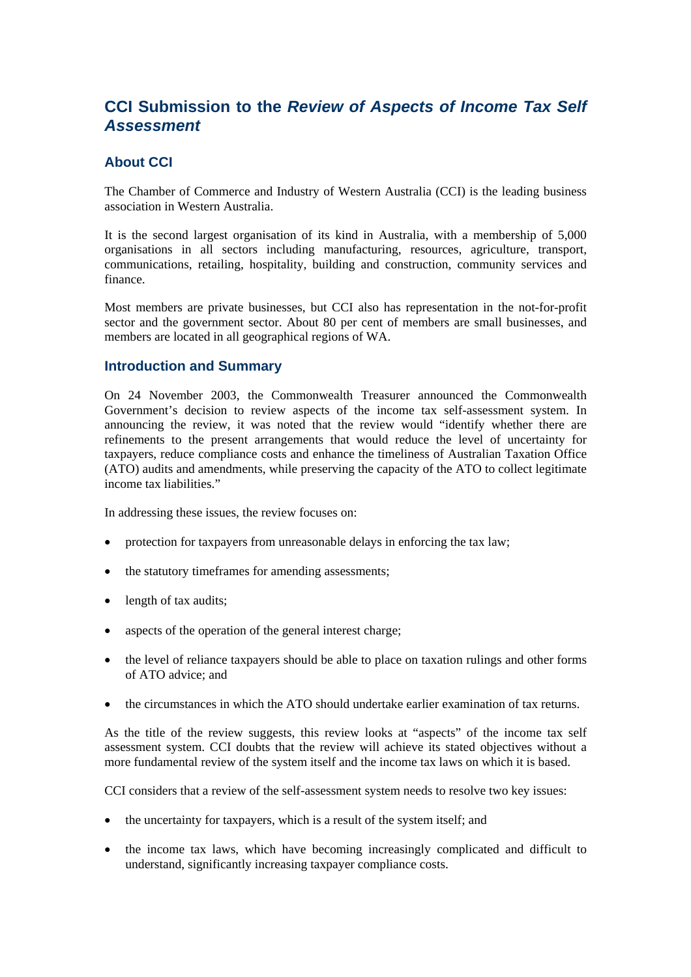# **CCI Submission to the** *Review of Aspects of Income Tax Self Assessment*

## **About CCI**

The Chamber of Commerce and Industry of Western Australia (CCI) is the leading business association in Western Australia.

It is the second largest organisation of its kind in Australia, with a membership of 5,000 organisations in all sectors including manufacturing, resources, agriculture, transport, communications, retailing, hospitality, building and construction, community services and finance.

Most members are private businesses, but CCI also has representation in the not-for-profit sector and the government sector. About 80 per cent of members are small businesses, and members are located in all geographical regions of WA.

#### **Introduction and Summary**

On 24 November 2003, the Commonwealth Treasurer announced the Commonwealth Government's decision to review aspects of the income tax self-assessment system. In announcing the review, it was noted that the review would "identify whether there are refinements to the present arrangements that would reduce the level of uncertainty for taxpayers, reduce compliance costs and enhance the timeliness of Australian Taxation Office (ATO) audits and amendments, while preserving the capacity of the ATO to collect legitimate income tax liabilities."

In addressing these issues, the review focuses on:

- protection for taxpayers from unreasonable delays in enforcing the tax law;
- the statutory timeframes for amending assessments:
- length of tax audits;
- aspects of the operation of the general interest charge;
- the level of reliance taxpayers should be able to place on taxation rulings and other forms of ATO advice; and
- the circumstances in which the ATO should undertake earlier examination of tax returns.

As the title of the review suggests, this review looks at "aspects" of the income tax self assessment system. CCI doubts that the review will achieve its stated objectives without a more fundamental review of the system itself and the income tax laws on which it is based.

CCI considers that a review of the self-assessment system needs to resolve two key issues:

- the uncertainty for taxpayers, which is a result of the system itself; and
- the income tax laws, which have becoming increasingly complicated and difficult to understand, significantly increasing taxpayer compliance costs.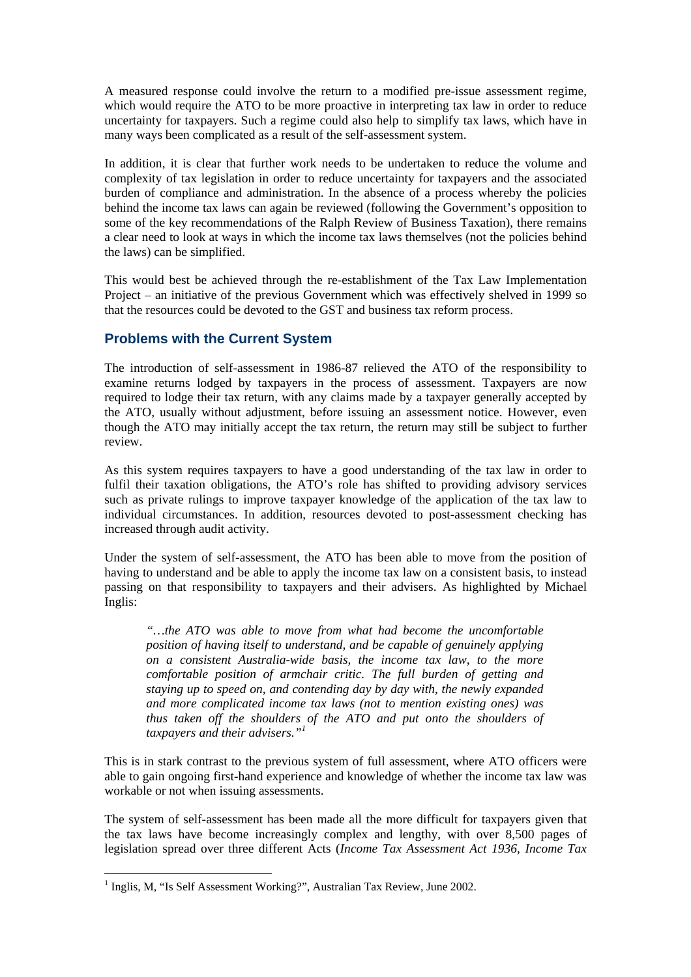A measured response could involve the return to a modified pre-issue assessment regime, which would require the ATO to be more proactive in interpreting tax law in order to reduce uncertainty for taxpayers. Such a regime could also help to simplify tax laws, which have in many ways been complicated as a result of the self-assessment system.

In addition, it is clear that further work needs to be undertaken to reduce the volume and complexity of tax legislation in order to reduce uncertainty for taxpayers and the associated burden of compliance and administration. In the absence of a process whereby the policies behind the income tax laws can again be reviewed (following the Government's opposition to some of the key recommendations of the Ralph Review of Business Taxation), there remains a clear need to look at ways in which the income tax laws themselves (not the policies behind the laws) can be simplified.

This would best be achieved through the re-establishment of the Tax Law Implementation Project – an initiative of the previous Government which was effectively shelved in 1999 so that the resources could be devoted to the GST and business tax reform process.

## **Problems with the Current System**

The introduction of self-assessment in 1986-87 relieved the ATO of the responsibility to examine returns lodged by taxpayers in the process of assessment. Taxpayers are now required to lodge their tax return, with any claims made by a taxpayer generally accepted by the ATO, usually without adjustment, before issuing an assessment notice. However, even though the ATO may initially accept the tax return, the return may still be subject to further review.

As this system requires taxpayers to have a good understanding of the tax law in order to fulfil their taxation obligations, the ATO's role has shifted to providing advisory services such as private rulings to improve taxpayer knowledge of the application of the tax law to individual circumstances. In addition, resources devoted to post-assessment checking has increased through audit activity.

Under the system of self-assessment, the ATO has been able to move from the position of having to understand and be able to apply the income tax law on a consistent basis, to instead passing on that responsibility to taxpayers and their advisers. As highlighted by Michael Inglis:

*"…the ATO was able to move from what had become the uncomfortable position of having itself to understand, and be capable of genuinely applying on a consistent Australia-wide basis, the income tax law, to the more comfortable position of armchair critic. The full burden of getting and staying up to speed on, and contending day by day with, the newly expanded and more complicated income tax laws (not to mention existing ones) was thus taken off the shoulders of the ATO and put onto the shoulders of taxpayers and their advisers."[1](#page-1-0)*

This is in stark contrast to the previous system of full assessment, where ATO officers were able to gain ongoing first-hand experience and knowledge of whether the income tax law was workable or not when issuing assessments.

The system of self-assessment has been made all the more difficult for taxpayers given that the tax laws have become increasingly complex and lengthy, with over 8,500 pages of legislation spread over three different Acts (*Income Tax Assessment Act 1936, Income Tax* 

 $\overline{a}$ 

<span id="page-1-0"></span><sup>&</sup>lt;sup>1</sup> Inglis, M, "Is Self Assessment Working?", Australian Tax Review, June 2002.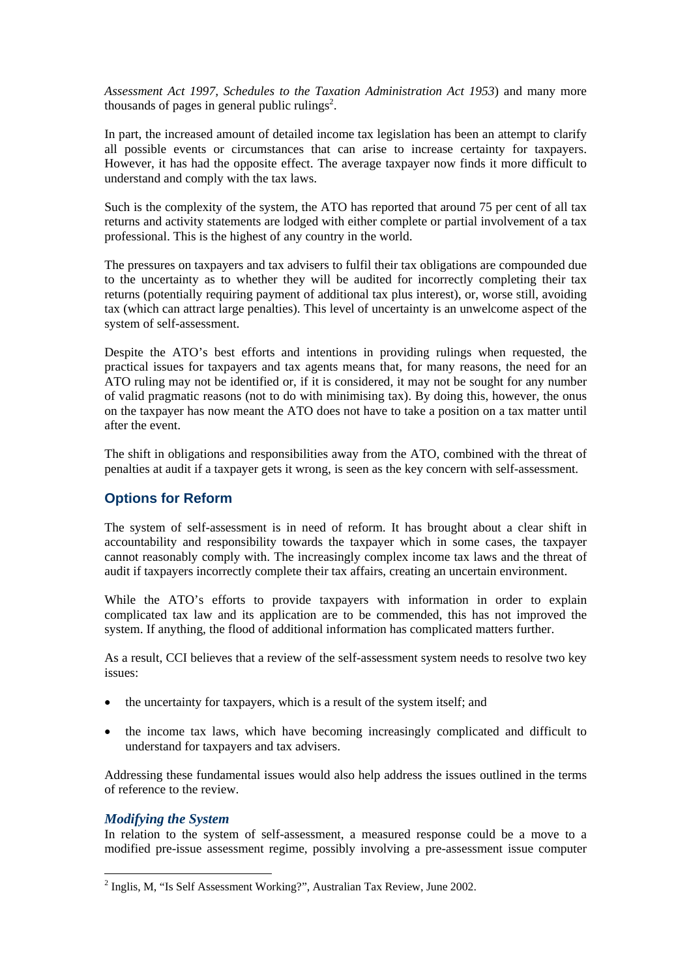*Assessment Act 1997, Schedules to the Taxation Administration Act 1953*) and many more thousands of pages in general public rulings<sup>[2](#page-2-0)</sup>.

In part, the increased amount of detailed income tax legislation has been an attempt to clarify all possible events or circumstances that can arise to increase certainty for taxpayers. However, it has had the opposite effect. The average taxpayer now finds it more difficult to understand and comply with the tax laws.

Such is the complexity of the system, the ATO has reported that around 75 per cent of all tax returns and activity statements are lodged with either complete or partial involvement of a tax professional. This is the highest of any country in the world.

The pressures on taxpayers and tax advisers to fulfil their tax obligations are compounded due to the uncertainty as to whether they will be audited for incorrectly completing their tax returns (potentially requiring payment of additional tax plus interest), or, worse still, avoiding tax (which can attract large penalties). This level of uncertainty is an unwelcome aspect of the system of self-assessment.

Despite the ATO's best efforts and intentions in providing rulings when requested, the practical issues for taxpayers and tax agents means that, for many reasons, the need for an ATO ruling may not be identified or, if it is considered, it may not be sought for any number of valid pragmatic reasons (not to do with minimising tax). By doing this, however, the onus on the taxpayer has now meant the ATO does not have to take a position on a tax matter until after the event.

The shift in obligations and responsibilities away from the ATO, combined with the threat of penalties at audit if a taxpayer gets it wrong, is seen as the key concern with self-assessment.

## **Options for Reform**

The system of self-assessment is in need of reform. It has brought about a clear shift in accountability and responsibility towards the taxpayer which in some cases, the taxpayer cannot reasonably comply with. The increasingly complex income tax laws and the threat of audit if taxpayers incorrectly complete their tax affairs, creating an uncertain environment.

While the ATO's efforts to provide taxpayers with information in order to explain complicated tax law and its application are to be commended, this has not improved the system. If anything, the flood of additional information has complicated matters further.

As a result, CCI believes that a review of the self-assessment system needs to resolve two key issues:

- the uncertainty for taxpayers, which is a result of the system itself; and
- the income tax laws, which have becoming increasingly complicated and difficult to understand for taxpayers and tax advisers.

Addressing these fundamental issues would also help address the issues outlined in the terms of reference to the review.

#### *Modifying the System*

In relation to the system of self-assessment, a measured response could be a move to a modified pre-issue assessment regime, possibly involving a pre-assessment issue computer

<span id="page-2-0"></span> 2 Inglis, M, "Is Self Assessment Working?", Australian Tax Review, June 2002.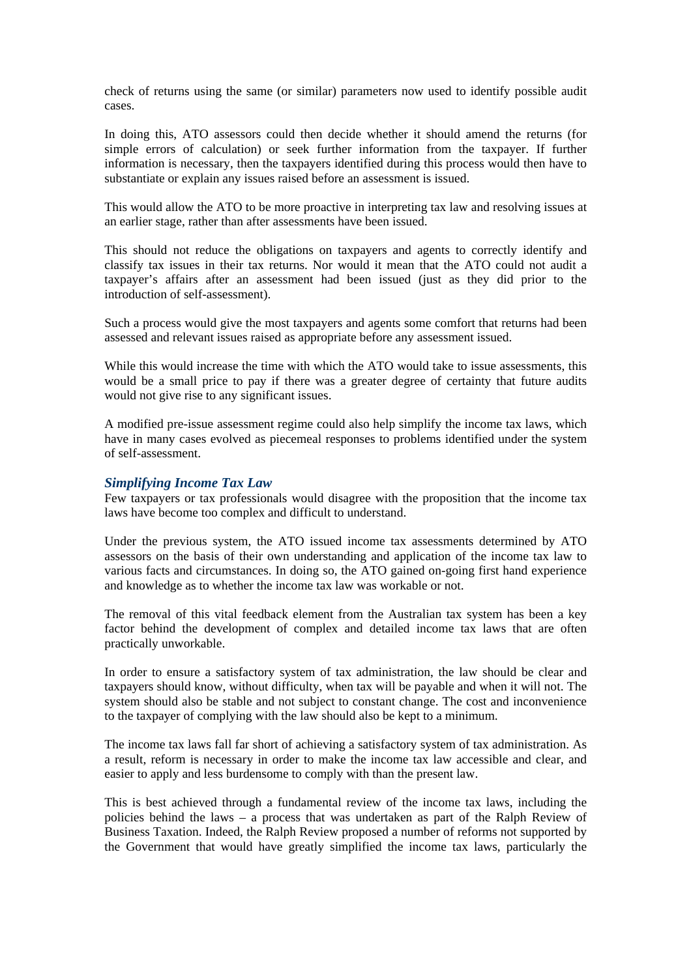check of returns using the same (or similar) parameters now used to identify possible audit cases.

In doing this, ATO assessors could then decide whether it should amend the returns (for simple errors of calculation) or seek further information from the taxpayer. If further information is necessary, then the taxpayers identified during this process would then have to substantiate or explain any issues raised before an assessment is issued.

This would allow the ATO to be more proactive in interpreting tax law and resolving issues at an earlier stage, rather than after assessments have been issued.

This should not reduce the obligations on taxpayers and agents to correctly identify and classify tax issues in their tax returns. Nor would it mean that the ATO could not audit a taxpayer's affairs after an assessment had been issued (just as they did prior to the introduction of self-assessment).

Such a process would give the most taxpayers and agents some comfort that returns had been assessed and relevant issues raised as appropriate before any assessment issued.

While this would increase the time with which the ATO would take to issue assessments, this would be a small price to pay if there was a greater degree of certainty that future audits would not give rise to any significant issues.

A modified pre-issue assessment regime could also help simplify the income tax laws, which have in many cases evolved as piecemeal responses to problems identified under the system of self-assessment.

#### *Simplifying Income Tax Law*

Few taxpayers or tax professionals would disagree with the proposition that the income tax laws have become too complex and difficult to understand.

Under the previous system, the ATO issued income tax assessments determined by ATO assessors on the basis of their own understanding and application of the income tax law to various facts and circumstances. In doing so, the ATO gained on-going first hand experience and knowledge as to whether the income tax law was workable or not.

The removal of this vital feedback element from the Australian tax system has been a key factor behind the development of complex and detailed income tax laws that are often practically unworkable.

In order to ensure a satisfactory system of tax administration, the law should be clear and taxpayers should know, without difficulty, when tax will be payable and when it will not. The system should also be stable and not subject to constant change. The cost and inconvenience to the taxpayer of complying with the law should also be kept to a minimum.

The income tax laws fall far short of achieving a satisfactory system of tax administration. As a result, reform is necessary in order to make the income tax law accessible and clear, and easier to apply and less burdensome to comply with than the present law.

This is best achieved through a fundamental review of the income tax laws, including the policies behind the laws – a process that was undertaken as part of the Ralph Review of Business Taxation. Indeed, the Ralph Review proposed a number of reforms not supported by the Government that would have greatly simplified the income tax laws, particularly the